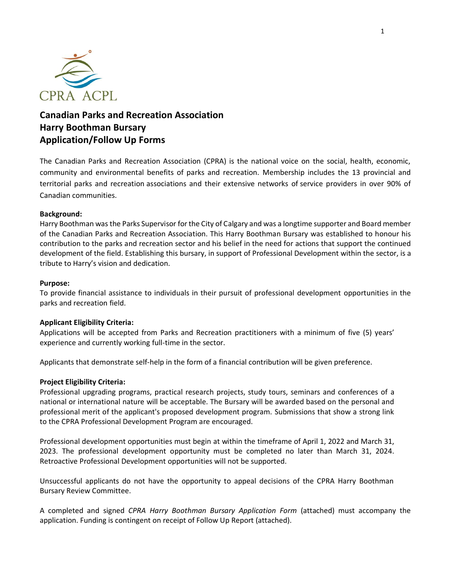

## **Canadian Parks and Recreation Association Harry Boothman Bursary Application/Follow Up Forms**

The Canadian Parks and Recreation Association (CPRA) is the national voice on the social, health, economic, community and environmental benefits of parks and recreation. Membership includes the 13 provincial and territorial parks and recreation associations and their extensive networks of service providers in over 90% of Canadian communities.

### **Background:**

Harry Boothman was the Parks Supervisor for the City of Calgary and was a longtime supporter and Board member of the Canadian Parks and Recreation Association. This Harry Boothman Bursary was established to honour his contribution to the parks and recreation sector and his belief in the need for actions that support the continued development of the field. Establishing this bursary, in support of Professional Development within the sector, is a tribute to Harry's vision and dedication.

### **Purpose:**

To provide financial assistance to individuals in their pursuit of professional development opportunities in the parks and recreation field.

### **Applicant Eligibility Criteria:**

Applications will be accepted from Parks and Recreation practitioners with a minimum of five (5) years' experience and currently working full-time in the sector.

Applicants that demonstrate self-help in the form of a financial contribution will be given preference.

### **Project Eligibility Criteria:**

Professional upgrading programs, practical research projects, study tours, seminars and conferences of a national or international nature will be acceptable. The Bursary will be awarded based on the personal and professional merit of the applicant's proposed development program. Submissions that show a strong link to the CPRA Professional Development Program are encouraged.

Professional development opportunities must begin at within the timeframe of April 1, 2022 and March 31, 2023. The professional development opportunity must be completed no later than March 31, 2024. Retroactive Professional Development opportunities will not be supported.

Unsuccessful applicants do not have the opportunity to appeal decisions of the CPRA Harry Boothman Bursary Review Committee.

A completed and signed *CPRA Harry Boothman Bursary Application Form* (attached) must accompany the application. Funding is contingent on receipt of Follow Up Report (attached).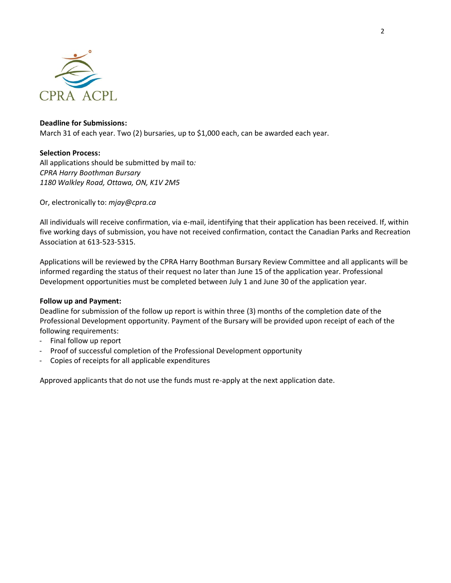

### **Deadline for Submissions:**

March 31 of each year. Two (2) bursaries, up to \$1,000 each, can be awarded each year.

### **Selection Process:**

All applications should be submitted by mail to*: CPRA Harry Boothman Bursary 1180 Walkley Road, Ottawa, ON, K1V 2M5*

Or, electronically to: *mjay@cpra.ca*

All individuals will receive confirmation, via e-mail, identifying that their application has been received. If, within five working days of submission, you have not received confirmation, contact the Canadian Parks and Recreation Association at 613-523-5315.

Applications will be reviewed by the CPRA Harry Boothman Bursary Review Committee and all applicants will be informed regarding the status of their request no later than June 15 of the application year. Professional Development opportunities must be completed between July 1 and June 30 of the application year.

### **Follow up and Payment:**

Deadline for submission of the follow up report is within three (3) months of the completion date of the Professional Development opportunity. Payment of the Bursary will be provided upon receipt of each of the following requirements:

- Final follow up report
- Proof of successful completion of the Professional Development opportunity
- Copies of receipts for all applicable expenditures

Approved applicants that do not use the funds must re-apply at the next application date.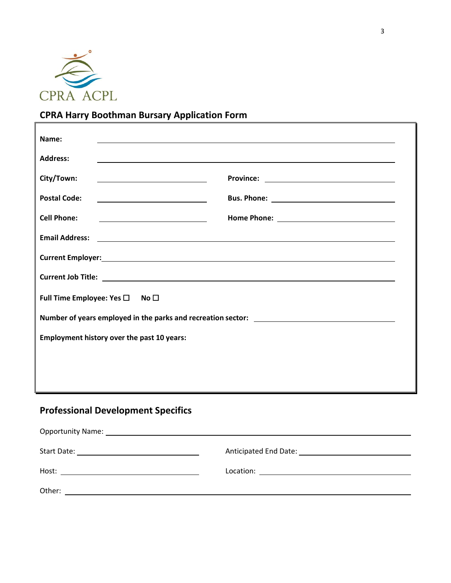

# **CPRA Harry Boothman Bursary Application Form**

| Name:                                                                                                                                                                                                                                |  |  |  |  |
|--------------------------------------------------------------------------------------------------------------------------------------------------------------------------------------------------------------------------------------|--|--|--|--|
| <b>Address:</b>                                                                                                                                                                                                                      |  |  |  |  |
| City/Town:<br><u> 1989 - Johann Barbara, martin a bhaile an t-Alban Barbara ann an t-Alban Barbara ann an t-Alban Barbara ann an</u>                                                                                                 |  |  |  |  |
| <b>Postal Code:</b>                                                                                                                                                                                                                  |  |  |  |  |
| <b>Cell Phone:</b><br><u> The Communication of the Communication of the Communication of the Communication of the Communication of</u>                                                                                               |  |  |  |  |
| Email Address: <u>New York: Andreas State Address: New York: New York: New York: New York: New York: New York: New York: New York: New York: New York: New York: New York: New York: New York: New York: New York: New York: New</u> |  |  |  |  |
|                                                                                                                                                                                                                                      |  |  |  |  |
|                                                                                                                                                                                                                                      |  |  |  |  |
| Full Time Employee: Yes □ No □                                                                                                                                                                                                       |  |  |  |  |
|                                                                                                                                                                                                                                      |  |  |  |  |
| <b>Employment history over the past 10 years:</b>                                                                                                                                                                                    |  |  |  |  |
|                                                                                                                                                                                                                                      |  |  |  |  |
|                                                                                                                                                                                                                                      |  |  |  |  |
|                                                                                                                                                                                                                                      |  |  |  |  |

# **Professional Development Specifics**

| Host:<br><u> 1989 - Johann Barbara, martin a bhaile an t-Alban Barbara ann an t-Alban Barbara ann an t-Alban Barbara ann an</u> | $\text{Location:}\begin{tabular}{ c c c c } \hline \rule{0pt}{3ex} \rule{0pt}{3ex} \rule{0pt}{3ex} \rule{0pt}{3ex} \rule{0pt}{3ex} \rule{0pt}{3ex} \rule{0pt}{3ex} \rule{0pt}{3ex} \rule{0pt}{3ex} \rule{0pt}{3ex} \rule{0pt}{3ex} \rule{0pt}{3ex} \rule{0pt}{3ex} \rule{0pt}{3ex} \rule{0pt}{3ex} \rule{0pt}{3ex} \rule{0pt}{3ex} \rule{0pt}{3ex} \rule{0pt}{3ex} \rule{0pt}{3ex} \rule{0pt}{3ex} \rule{0pt}{3$ |
|---------------------------------------------------------------------------------------------------------------------------------|------------------------------------------------------------------------------------------------------------------------------------------------------------------------------------------------------------------------------------------------------------------------------------------------------------------------------------------------------------------------------------------------------------------|
| Other:                                                                                                                          |                                                                                                                                                                                                                                                                                                                                                                                                                  |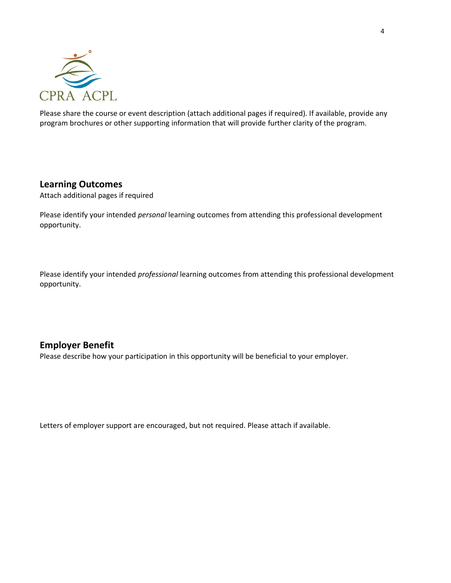

Please share the course or event description (attach additional pages if required). If available, provide any program brochures or other supporting information that will provide further clarity of the program.

### **Learning Outcomes**

Attach additional pages if required

Please identify your intended *personal* learning outcomes from attending this professional development opportunity.

Please identify your intended *professional* learning outcomes from attending this professional development opportunity.

## **Employer Benefit**

Please describe how your participation in this opportunity will be beneficial to your employer.

Letters of employer support are encouraged, but not required. Please attach if available.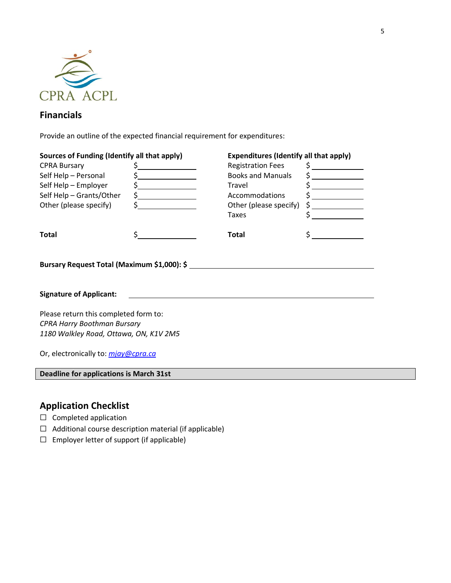

## **Financials**

Provide an outline of the expected financial requirement for expenditures:

| Sources of Funding (Identify all that apply) |                             | <b>Expenditures (Identify all that apply)</b> |               |  |  |  |  |  |
|----------------------------------------------|-----------------------------|-----------------------------------------------|---------------|--|--|--|--|--|
| <b>CPRA Bursary</b>                          | $\frac{1}{\sqrt{2}}$        | <b>Registration Fees</b>                      | $\zeta$       |  |  |  |  |  |
| Self Help - Personal                         | $\frac{1}{\sqrt{2}}$        | <b>Books and Manuals</b>                      |               |  |  |  |  |  |
| Self Help - Employer                         | $\frac{1}{2}$               | Travel                                        | $\mathsf{\$}$ |  |  |  |  |  |
| Self Help - Grants/Other                     | $\frac{1}{2}$               | Accommodations                                | $\frac{1}{2}$ |  |  |  |  |  |
| Other (please specify)                       | $\frac{1}{5}$ $\frac{1}{1}$ | Other (please specify)                        | $\sharp$      |  |  |  |  |  |
|                                              |                             | Taxes                                         | \$            |  |  |  |  |  |
| <b>Total</b>                                 |                             | <b>Total</b>                                  |               |  |  |  |  |  |
| Bursary Request Total (Maximum \$1,000): \$  |                             |                                               |               |  |  |  |  |  |
| <b>Signature of Applicant:</b>               |                             |                                               |               |  |  |  |  |  |
| Please return this completed form to:        |                             |                                               |               |  |  |  |  |  |

Please return this completed form to: *CPRA Harry Boothman Bursary 1180 Walkley Road, Ottawa, ON, K1V 2M5*

Or, electronically to: *[mjay@cpra.ca](mailto:mjay@cpra.ca)*

**Deadline for applications is March 31st**

## **Application Checklist**

- ☐ Completed application
- ☐ Additional course description material (if applicable)
- ☐ Employer letter of support (if applicable)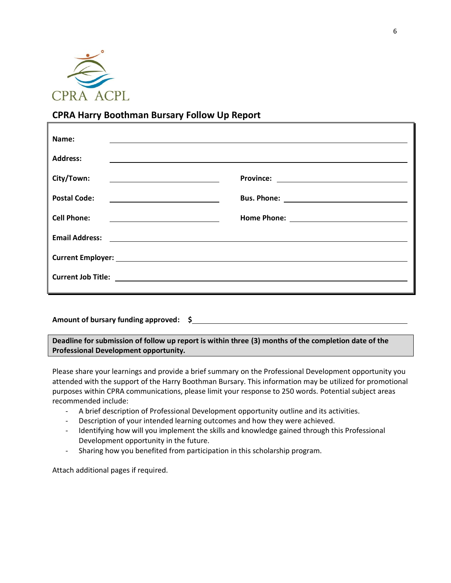

## **CPRA Harry Boothman Bursary Follow Up Report**

| Name:                                                                                                                                                                                                                               |  |
|-------------------------------------------------------------------------------------------------------------------------------------------------------------------------------------------------------------------------------------|--|
| <b>Address:</b>                                                                                                                                                                                                                     |  |
| City/Town:<br><u> 1989 - Johann Barbara, martin amerikan basal dan berasal dalam basal dalam basal dalam basal dalam basal dala</u>                                                                                                 |  |
| <b>Postal Code:</b><br><u> 1989 - Johann Barbara, martin amerikan basar dan basa dan basa dan basa dan basa dan basa dan basa dan basa</u>                                                                                          |  |
| <b>Cell Phone:</b>                                                                                                                                                                                                                  |  |
| Email Address: <u>Communication</u> of the contract of the contract of the contract of the contract of the contract of the contract of the contract of the contract of the contract of the contract of the contract of the contract |  |
|                                                                                                                                                                                                                                     |  |
|                                                                                                                                                                                                                                     |  |

### **Amount of bursary funding approved: \$**

**Deadline for submission of follow up report is within three (3) months of the completion date of the Professional Development opportunity.**

Please share your learnings and provide a brief summary on the Professional Development opportunity you attended with the support of the Harry Boothman Bursary. This information may be utilized for promotional purposes within CPRA communications, please limit your response to 250 words. Potential subject areas recommended include:

- A brief description of Professional Development opportunity outline and its activities.
- Description of your intended learning outcomes and how they were achieved.
- Identifying how will you implement the skills and knowledge gained through this Professional Development opportunity in the future.
- Sharing how you benefited from participation in this scholarship program.

Attach additional pages if required.